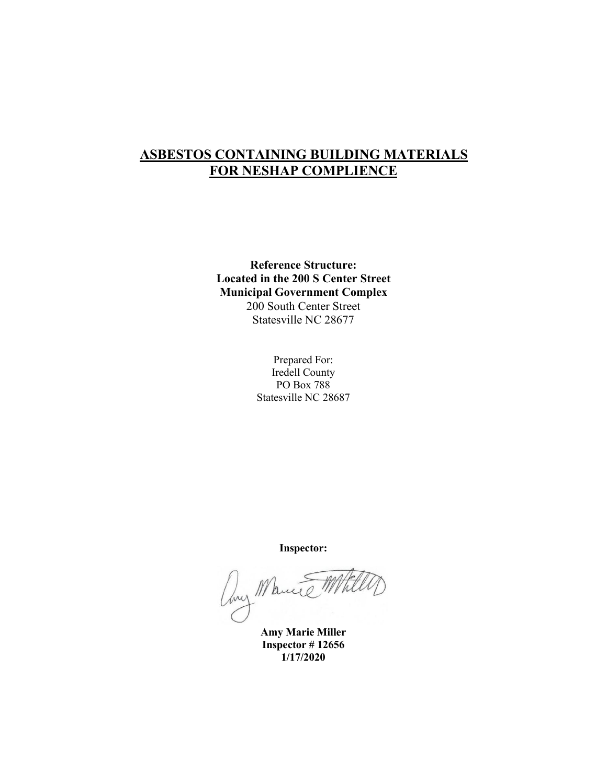# **ASBESTOS CONTAINING BUILDING MATERIALS FOR NESHAP COMPLIENCE**

**Reference Structure: Located in the 200 S Center Street Municipal Government Complex** 200 South Center Street Statesville NC 28677

> Prepared For: Iredell County PO Box 788 Statesville NC 28687

> > **Inspector:**

Any Marine Mil

**Amy Marie Miller Inspector # 12656 1/17/2020**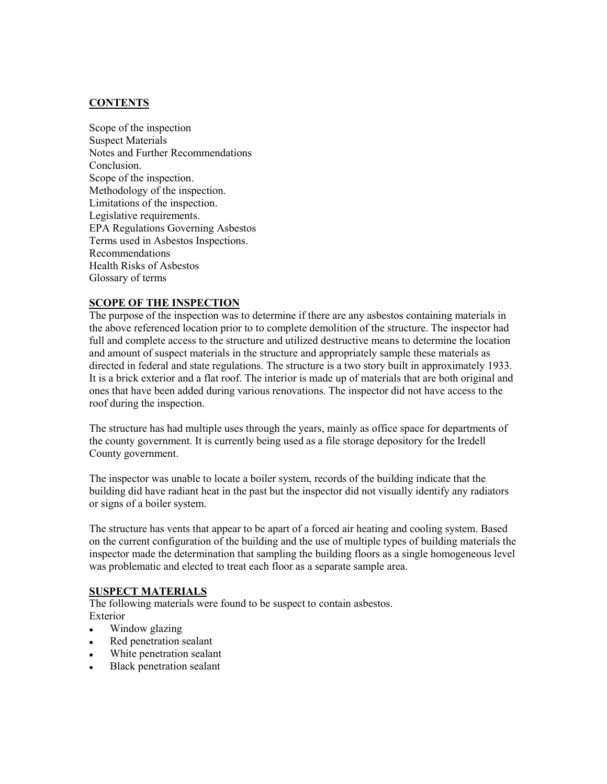#### **CONTENTS**

Scope of the inspection Suspect Materials Notes and Further Recommendations Conclusion. Scope of the inspection. Methodology of the inspection. Limitations of the inspection. Legislative requirements. EPA Regulations Governing Asbestos Terms used in Asbestos Inspections. Recommendations Health Risks of Asbestos Glossary of terms

#### **SCOPE OF THE INSPECTION**

The purpose of the inspection was to determine if there are any asbestos containing materials in the above referenced location prior to to complete demolition of the structure. The inspector had full and complete access to the structure and utilized destructive means to determine the location and amount of suspect materials in the structure and appropriately sample these materials as directed in federal and state regulations. The structure is a two story built in approximately 1933. It is a brick exterior and a flat roof. The interior is made up of materials that are both original and ones that have been added during various renovations. The inspector did not have access to the roof during the inspection.

The structure has had multiple uses through the years, mainly as office space for departments of the county government. It is currently being used as a file storage depository for the Iredell County government.

The inspector was unable to locate a boiler system, records ofthe building indicate that the building did have radiant heat in the past but the inspector did not visually identify any radiators or signs of a boiler system.

The structure has vents that appear to be apart of a forced air heating and cooling system. Based on the current configuration of the building and the use of multiple types ofbuilding materials the inspector made the determination that sampling the building floors as a single homogeneous level was problematic and elected to treat each floor as a separate sample area.

#### **SUSPECT MATERIALS**

The following materials were found to be suspect to contain asbestos. Exterior

- Window glazing
- Red penetration sealant
- White penetration sealant
- Black penetration sealant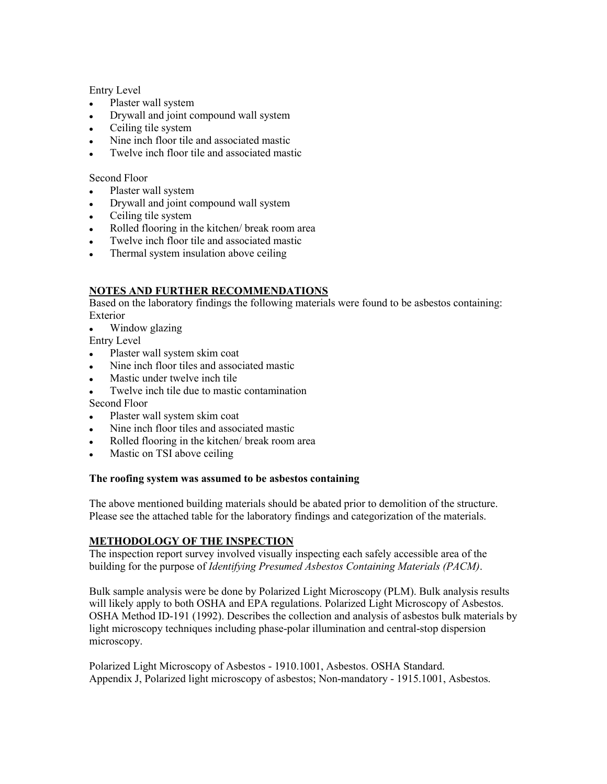Entry Level

- Plaster wall system
- Drywall and joint compound wall system
- Ceiling tile system
- Nine inch floor tile and associated mastic
- Twelve inch floor tile and associated mastic

#### Second Floor

- Plaster wall system
- Drywall and joint compound wall system
- Ceiling tile system
- Rolled flooring in the kitchen/ break room area
- Twelve inch floor tile and associated mastic
- Thermal system insulation above ceiling

# **NOTES AND FURTHER RECOMMENDATIONS**

Based on the laboratory findings the following materials were found to be asbestos containing: Exterior

- Window glazing
- Entry Level
- Plaster wall system skim coat
- Nine inch floor tiles and associated mastic
- Mastic under twelve inch tile
- Twelve inch tile due to mastic contamination
- Second Floor
- Plaster wall system skim coat
- Nine inch floor tiles and associated mastic
- Rolled flooring in the kitchen/ break room area
- Mastic on TSI above ceiling

## **The roofing system was assumed tobe asbestos containing**

The above mentioned building materials should be abated prior to demolition of the structure. Please see the attached table for the laboratory findings and categorization of the materials.

# **METHODOLOGY OF THE INSPECTION**

The inspection report survey involved visually inspecting each safely accessible area of the building for the purpose of *Identifying Presumed Asbestos Containing Materials (PACM)*.

Bulk sample analysis were be done by Polarized Light Microscopy (PLM). Bulk analysis results will likely apply to both OSHA and EPA regulations. Polarized Light Microscopy of Asbestos. OSHA Method ID-191 (1992). Describes the collection and analysis ofasbestos bulk materials by light microscopy techniques including phase-polar illumination and central-stop dispersion microscopy.

Polarized Light Microscopy of Asbestos - 1910.1001, Asbestos. OSHA Standard. Appendix J, Polarized light microscopy of asbestos; Non-mandatory - 1915.1001, Asbestos.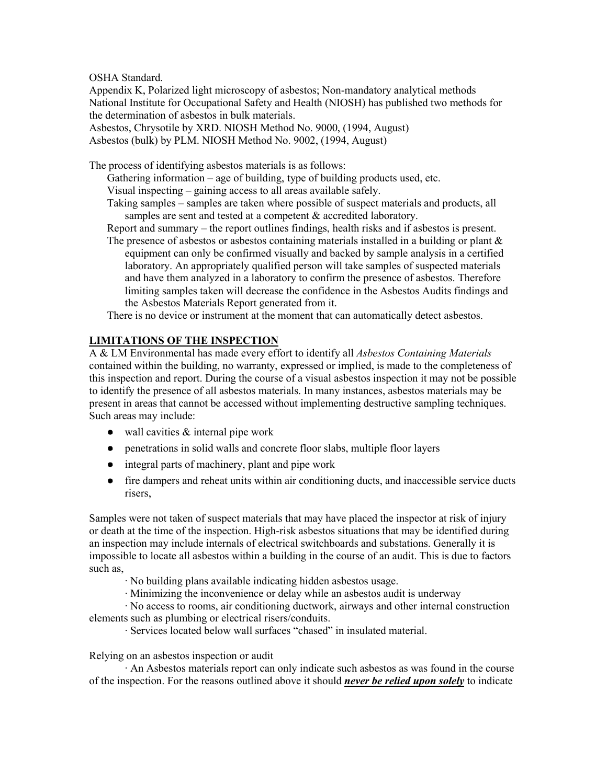OSHA Standard.

Appendix K, Polarized light microscopy of asbestos; Non-mandatory analytical methods National Institute for Occupational Safety and Health (NIOSH) has published two methods for the determination of asbestos in bulk materials.

Asbestos, Chrysotile by XRD. NIOSH Method No. 9000, (1994, August)

Asbestos (bulk) by PLM. NIOSH Method No. 9002, (1994, August)

The process of identifying asbestos materials is as follows:

Gathering information – age of building, type of building products used, etc. Visual inspecting – gaining access to all areas available safely.

- Taking samples samples are taken where possible of suspect materials and products, all samples are sent and tested at a competent & accredited laboratory.
- Report and summary the report outlines findings, health risks and if asbestos is present.
- The presence of asbestos or asbestos containing materials installed in a building or plant  $\&$ equipment can only be confirmed visually and backed by sample analysis in a certified laboratory. An appropriately qualified person will take samples of suspected materials and have them analyzed in a laboratory to confirm the presence of asbestos. Therefore limiting samples taken will decrease the confidence in the Asbestos Audits findings and the Asbestos Materials Report generated from it.

There is no device or instrument at the moment that can automatically detect asbestos.

#### **LIMITATIONS OF THE INSPECTION**

A & LM Environmental has made every effort to identify all *Asbestos Containing Materials* contained within the building, no warranty, expressed or implied, is made to the completeness of this inspection and report. During the course of a visual asbestos inspection it may not be possible to identify the presence of all asbestos materials. In many instances, asbestos materials may be present in areas that cannot be accessed without implementing destructive sampling techniques.<br>Such areas may include:

- $\bullet$  wall cavities  $\&$  internal pipe work
- penetrations in solid walls and concrete floor slabs, multiple floor layers
- integral parts of machinery, plant and pipe work
- fire dampers and reheat units within air conditioning ducts, and inaccessible service ducts risers,

Samples were not taken of suspect materials that may have placed the inspector at risk of injury or death at the time of the inspection. High-risk asbestos situations that may be identified during an inspection may include internals of electrical switchboards and substations. Generally it is impossible to locate all asbestos within a building in the course of an audit. This is due to factors such as,

- ∙ No building plans available indicating hidden asbestos usage.
- ∙ Minimizing the inconvenience or delay while an asbestos audit is underway

∙ No access to rooms, air conditioning ductwork, airways and other internal construction elements such as plumbing or electrical risers/conduits.

∙ Services located below wall surfaces "chased" in insulated material.

Relying on an asbestos inspection or audit

∙ An Asbestos materials report can only indicate such asbestos as was found in the course of the inspection. For the reasons outlined above it should *never be relied upon solely* to indicate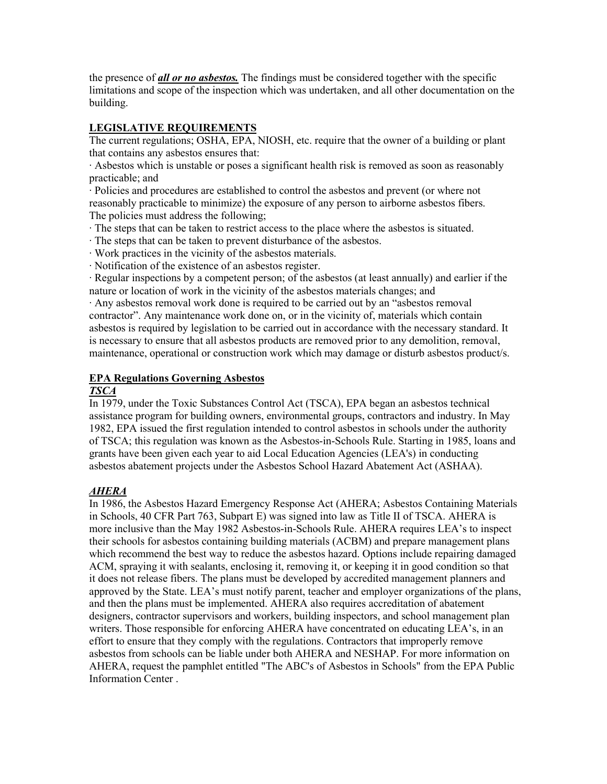the presence of *all or no asbestos.* The findings mustbe considered together with the specific limitations and scope of the inspection which was undertaken, and all other documentation on the building.

# **LEGISLATIVE REQUIREMENTS**

The current regulations; OSHA, EPA, NIOSH, etc. require that the owner of a building or plant that contains any asbestos ensures that:

∙ Asbestos which is unstable or poses a significant health risk is removed as soon as reasonably practicable; and

∙ Policies and procedures are established to control the asbestos and prevent (or where not reasonably practicable to minimize) the exposure of any person to airborne asbestos fibers. The policies mustaddress the following;

- ∙ The steps that can be taken to restrict access to the place where the asbestos is situated.
- The steps that can be taken to prevent disturbance of the asbestos.
- ∙ Work practices in the vicinity of the asbestos materials.
- ∙ Notification of the existence of an asbestos register.

∙ Regular inspections by a competent person; of the asbestos (at least annually) and earlier if the nature or location of work in the vicinity of the asbestos materials changes; and

∙ Any asbestos removal work done is required to be carried out by an "asbestos removal contractor". Any maintenance work done on, or in the vicinity of, materials which contain asbestos is required by legislation to be carried out in accordance with the necessary standard. It is necessary to ensure that all asbestos products are removed prior to any demolition, removal, maintenance, operational or construction work which may damage or disturb asbestos product/s.

## **EPA Regulations Governing Asbestos**

#### *TSCA*

In 1979, under the Toxic Substances Control Act (TSCA), EPA began an asbestos technical assistance program for building owners, environmental groups, contractors and industry. In May 1982, EPA issued the first regulation intended to control asbestos in schools under the authority of TSCA; this regulation was known as the Asbestos-in-Schools Rule. Starting in 1985, loans and grants have been given each year to aid Local Education Agencies (LEA's) in conducting asbestos abatement projects under the Asbestos School Hazard Abatement Act (ASHAA).

## *AHERA*

In 1986, the Asbestos Hazard Emergency Response Act (AHERA; Asbestos Containing Materials in Schools, 40 CFR Part 763, Subpart E) was signed into law as Title II of TSCA. AHERA is more inclusive than the May 1982 Asbestos-in-Schools Rule. AHERA requires LEA's to inspect their schools for asbestos containing building materials (ACBM) and prepare management plans which recommend the best way to reduce the asbestos hazard. Options include repairing damaged ACM, spraying it with sealants, enclosing it, removing it, or keeping it in good condition so that it does not release fibers. The plans must be developed by accredited management planners and approved by the State. LEA's must notify parent, teacher and employer organizations ofthe plans, and then the plans must be implemented. AHERA also requires accreditation of abatement designers, contractor supervisors and workers, building inspectors, and school management plan writers. Those responsible for enforcing AHERA have concentrated on educating LEA's, in an effort to ensure that they comply with the regulations. Contractors that improperly remove asbestos from schools can be liable under both AHERA and NESHAP. For more information on AHERA, request the pamphlet entitled "The ABC's of Asbestos in Schools" from the EPA Public Information Center .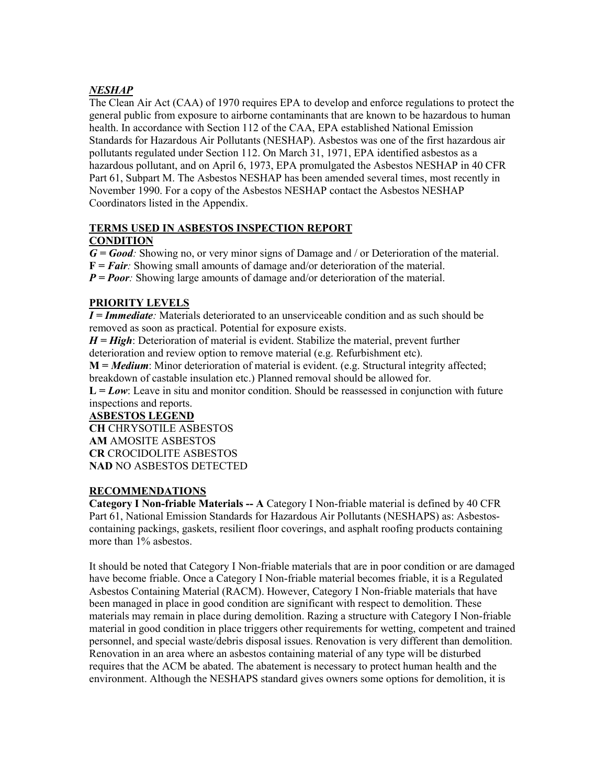# *NESHAP*

The Clean Air Act (CAA) of 1970 requires EPA to develop and enforce regulations to protect the general public from exposure to airborne contaminants that are known to be hazardous to human health. In accordance with Section 112 of the CAA, EPA established National Emission Standards for Hazardous Air Pollutants (NESHAP). Asbestos was one of the first hazardous air pollutants regulated under Section 112. On March 31, 1971, EPA identified asbestos as a hazardous pollutant, and on April 6, 1973, EPA promulgated the Asbestos NESHAP in 40 CFR Part 61, Subpart M. The Asbestos NESHAP has been amended several times, most recently in November 1990. For a copy of the Asbestos NESHAP contact the Asbestos NESHAP Coordinators listed in the Appendix.

## **TERMS USED IN ASBESTOS INSPECTION REPORT**

# **CONDITION**

*G = Good:* Showing no, or very minor signs of Damage and / or Deterioration of the material.

**F =***Fair:* Showing small amounts of damage and/or deterioration of the material.

*P* = *Poor*: Showing large amounts of damage and/or deterioration of the material.

# **PRIORITY LEVELS**

*I = Immediate:* Materials deteriorated to an unserviceable condition and as such should be removed as soon as practical. Potential for exposure exists.

*H = High*: Deterioration of material is evident. Stabilize the material, prevent further deterioration and review option to remove material (e.g. Refurbishment etc).

**M =** *Medium*: Minor deterioration of material is evident. (e.g. Structural integrity affected; breakdown of castable insulation etc.) Planned removal should be allowed for.

 $L = Low$ : Leave in situ and monitor condition. Should be reassessed in conjunction with future inspections and reports.

## **ASBESTOS LEGEND**

**CH** CHRYSOTILE ASBESTOS **AM** AMOSITE ASBESTOS **CR** CROCIDOLITE ASBESTOS **NAD** NO ASBESTOS DETECTED

## **RECOMMENDATIONS**

**Category I Non-friable Materials -- A** Category I Non-friable material is defined by 40 CFR Part 61, National Emission Standards for Hazardous Air Pollutants (NESHAPS) as: Asbestos containing packings, gaskets, resilient floor coverings, and asphalt roofing products containing more than 1% asbestos.

It should be noted that Category I Non-friable materials that are in poor condition or are damaged have become friable. Once a Category I Non-friable material becomes friable, it is a Regulated Asbestos Containing Material (RACM). However, Category I Non-friable materials that have been managed in place in good condition are significant with respect to demolition.These materials may remain in place during demolition. Razing a structure with Category I Non-friable material in good condition in place triggers other requirements for wetting, competent and trained personnel, and special waste/debris disposal issues. Renovation is very different than demolition. Renovation in an area where an asbestos containing material of any type will be disturbed requires that the ACM be abated. The abatement is necessary to protect human health and the environment. Although the NESHAPS standard gives owners some options for demolition, it is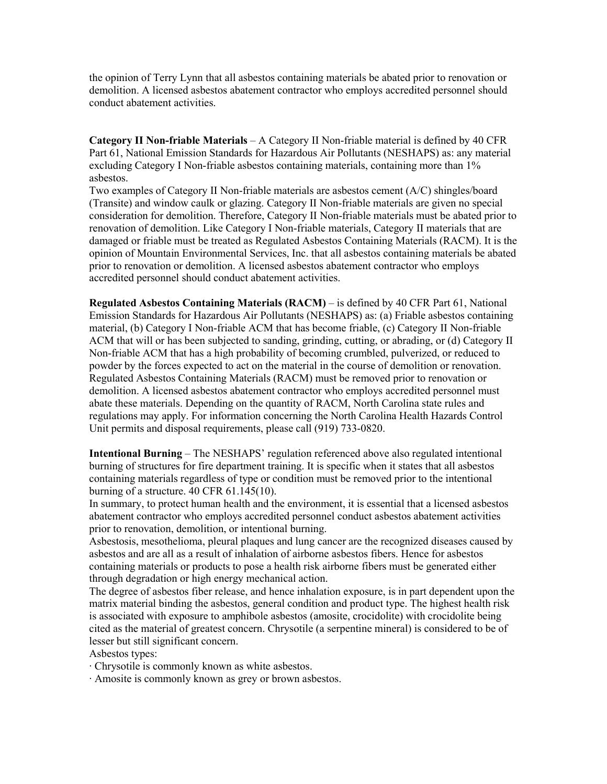the opinion of Terry Lynn that all asbestos containing materials be abated prior to renovation or demolition. A licensed asbestos abatement contractor who employs accredited personnel should conduct abatement activities.

**Category II Non-friable Materials** – A Category II Non-friable material is defined by 40 CFR Part 61, National Emission Standards for Hazardous Air Pollutants (NESHAPS) as: any material excluding Category I Non-friable asbestos containing materials, containing more than 1% asbestos.

Two examples ofCategory II Non-friable materials are asbestos cement (A/C) shingles/board (Transite) and window caulk or glazing. Category II Non-friable materials are given no special consideration for demolition. Therefore, Category II Non-friable materials mustbe abated prior to renovation of demolition. Like Category I Non-friable materials, Category II materials that are damaged or friable must be treated as Regulated Asbestos Containing Materials (RACM). It is the opinion of Mountain Environmental Services, Inc. that all asbestos containing materials be abated prior to renovation or demolition. A licensed asbestos abatement contractor who employs accredited personnel should conduct abatement activities.

**Regulated Asbestos Containing Materials (RACM)** – is defined by 40 CFR Part 61, National Emission Standards for Hazardous Air Pollutants (NESHAPS) as: (a) Friable asbestos containing material, (b) Category I Non-friable ACM that has become friable, (c) Category II Non-friable ACM that will or has been subjected to sanding, grinding, cutting, or abrading, or (d) Category II Non-friable ACM that has a high probability of becoming crumbled, pulverized, or reduced to powder by the forces expected to act on the material in the course of demolition or renovation. Regulated Asbestos Containing Materials (RACM) must be removed prior to renovation or demolition. A licensed asbestos abatement contractor who employs accredited personnel must abate these materials. Depending on the quantity of RACM, North Carolina state rules and regulations may apply. For information concerning the North Carolina Health Hazards Control Unit permits and disposal requirements, please call (919) 733-0820.

**Intentional Burning** – The NESHAPS' regulation referenced above also regulated intentional burning of structures for fire department training. It is specific when it states that all asbestos containing materials regardless of type or condition must be removed prior to the intentional burning of a structure. 40 CFR 61.145(10).

In summary, to protect human health and the environment, it is essential that a licensed asbestos abatement contractor who employs accredited personnel conduct asbestos abatement activities prior to renovation, demolition, or intentional burning.

Asbestosis, mesothelioma, pleural plaques and lung cancer are the recognized diseases caused by asbestos and are all as a result of inhalation of airborne asbestos fibers. Hence for asbestos containing materials or products to pose a health risk airborne fibers must be generated either through degradation or high energy mechanical action.

The degree of asbestos fiber release, and hence inhalation exposure, is in part dependent upon the matrix material binding the asbestos, general condition and product type. The highest health risk is associated with exposure to amphibole asbestos (amosite, crocidolite) with crocidolite being cited as the material of greatest concern. Chrysotile (a serpentine mineral) is considered to be of lesser but still significant concern.

Asbestos types:

∙ Chrysotile is commonly known as white asbestos.

∙ Amosite is commonly known as grey or brown asbestos.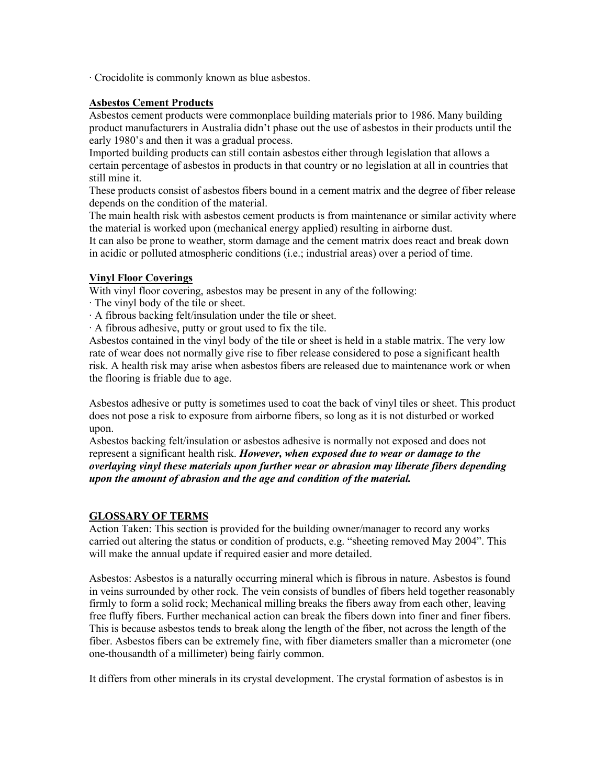∙ Crocidolite is commonly known as blue asbestos.

#### **Asbestos Cement Products**

Asbestos cement products were commonplace building materials prior to 1986. Many building product manufacturers in Australia didn't phase out the use of asbestos in their products until the early 1980's and then it was a gradual process.

Imported building products can still contain asbestos either through legislation that allows a certain percentage of asbestos in products in that country or no legislation at all in countries that still mine it.

These products consist of asbestos fibers bound in a cement matrix and the degree of fiber release depends on the condition of the material.

The main health risk with asbestos cement products is from maintenance or similar activity where the material is worked upon (mechanical energy applied) resulting in airborne dust.

It can also be prone to weather, storm damage and the cement matrix does react and break down in acidic or polluted atmospheric conditions (i.e.; industrial areas) over a period of time.

#### **Vinyl Floor Coverings**

With vinyl floor covering, asbestos may be present in any of the following:

- ∙ The vinyl body of the tile or sheet.
- ∙ A fibrous backing felt/insulation under the tile or sheet.
- ∙ A fibrous adhesive, putty or grout used to fix the tile.

Asbestos contained in the vinyl body of the tile or sheet is held in a stable matrix. The very low rate of wear does not normally give rise to fiber release considered to pose a significant health risk. A health risk may arise when asbestos fibers are released due to maintenance work or when the flooring is friable due to age.

Asbestos adhesive or putty is sometimes used to coat the back of vinyl tiles or sheet. This product does not pose a risk to exposure from airborne fibers, so long as it is not disturbed or worked upon.

Asbestos backing felt/insulation or asbestos adhesive is normally not exposed and does not represent a significant health risk. *However, when exposed due to wear or damage to the overlaying vinyl these materials upon furtherwear or abrasion may liberate fibers depending upon the amount of abrasion and the age and condition of the material.*

#### **GLOSSARY OF TERMS**

Action Taken: This section is provided for the building owner/manager to record any works carried out altering the status or condition of products, e.g. "sheeting removed May 2004". This

Asbestos: Asbestos is a naturally occurring mineral which is fibrous in nature. Asbestos is found in veins surrounded by other rock. The vein consists of bundles of fibers held together reasonably firmly to form a solid rock; Mechanical milling breaks the fibers away from each other, leaving free fluffy fibers. Further mechanical action can break the fibers down into finer and finer fibers. This is because asbestos tends to break along the length of the fiber, not across the length of the fiber. Asbestos fibers can be extremely fine, with fiber diameters smaller than a micrometer (one one-thousandth of a millimeter) being fairly common.

It differs from other minerals in its crystal development. The crystal formation of asbestos is in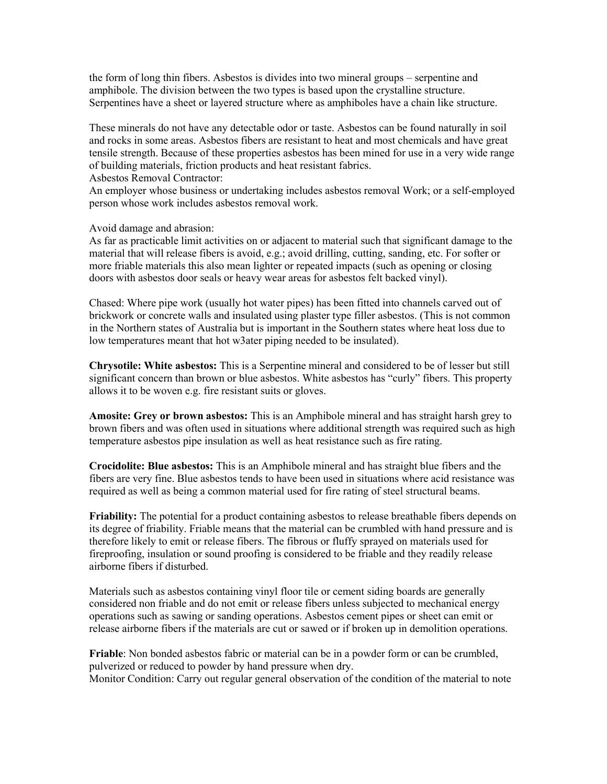the form of long thin fibers. Asbestos is divides into two mineral groups – serpentine and amphibole. The division between the two types is based upon the crystalline structure. Serpentines have a sheet or layered structure where as amphiboles have a chain like structure.

These minerals do not have any detectable odoror taste. Asbestos can be found naturally in soil and rocks in some areas. Asbestos fibers are resistant to heat and most chemicals and have great tensile strength.Because of these properties asbestos has been mined for use in a very wide range of building materials, friction products and heat resistant fabrics.

Asbestos Removal Contractor:

An employer whose business or undertaking includes asbestos removal Work; or a self-employed person whose work includes asbestos removal work.

Avoid damage and abrasion:

As far as practicable limit activities on or adjacent to material such that significant damage to the material that will release fibers is avoid, e.g.; avoid drilling, cutting, sanding, etc. For softer or more friable materials this also mean lighter or repeated impacts (such as opening or closing doors with asbestos door seals or heavy wear areas for asbestos felt backed vinyl).

Chased: Where pipe work (usually hot water pipes) has been fitted into channels carved out of brickwork or concrete walls and insulated using plaster type filler asbestos. (This is not common in the Northern states of Australia but is important in the Southern states where heat loss due to low temperatures meant that hot w3ater piping needed to be insulated).

**Chrysotile: White asbestos:** This is a Serpentine mineral and considered to be of lesser but still significant concern than brown or blue asbestos. White asbestos has "curly" fibers. This property allows it to be woven e.g. fire resistant suits or gloves.

**Amosite: Grey or brown asbestos:** This is an Amphibole mineral and has straight harsh grey to brown fibers and was often used in situations where additional strength was required such as high temperature asbestos pipe insulation as well as heat resistance such as fire rating.

**Crocidolite: Blue asbestos:** This is an Amphibole mineral and has straight blue fibers and the fibers are very fine. Blue asbestos tends to have been used in situations where acid resistance was required as well as being a common material used for fire rating of steel structural beams.

**Friability:** The potential for a product containing asbestos to release breathable fibers depends on its degree of friability. Friable means that the material can be crumbled with hand pressure and is therefore likely to emit or release fibers. The fibrous or fluffy sprayed on materials used for fireproofing, insulation or sound proofing is considered to be friable and they readily release airborne fibers if disturbed.

Materials such as asbestos containing vinyl floor tile or cement siding boards are generally considered non friable and do not emit or release fibers unless subjected to mechanical energy operations such as sawing or sanding operations. Asbestos cement pipes or sheet can emit or release airborne fibers if the materials are cut or sawed or if broken up in demolition operations.

**Friable**: Non bonded asbestos fabric or material can be in a powder form or can be crumbled, pulverized or reduced to powder by hand pressure when dry. Monitor Condition: Carry out regular general observation of the condition of the material to note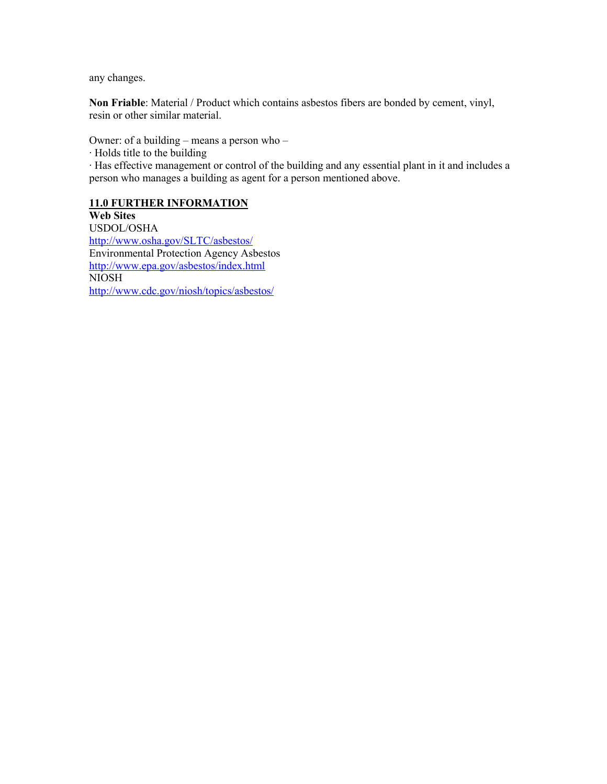any changes.

**Non Friable**: Material / Product which contains asbestos fibers are bonded by cement, vinyl, resin or other similar material.

Owner: of a building – means a person who –

∙ Holds title to the building

∙ Has effective management or control of the building and any essential plant in it and includes a person who manages a building as agent for a person mentioned above.

#### **11.0 FURTHER INFORMATION**

**Web Sites** USDOL/OSHA <http://www.osha.gov/SLTC/asbestos/> Environmental Protection Agency Asbestos http://www.epa.gov/asbestos/index.html NIOSH <http://www.cdc.gov/niosh/topics/asbestos/>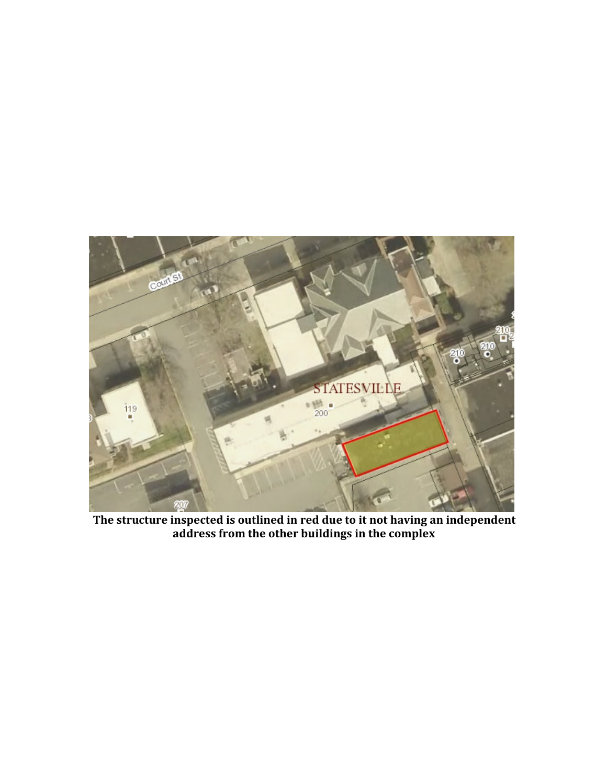

**The structure inspected is outlined in red due to it not having an independent address from the other buildings in the complex**